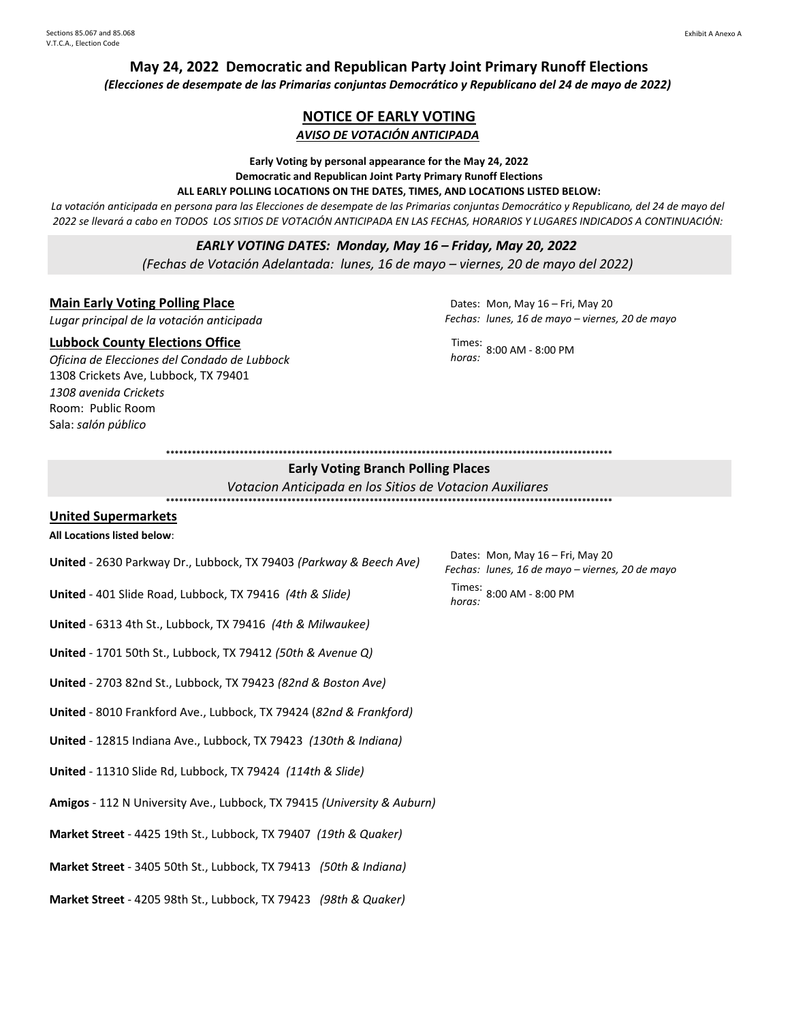# **May 24, 2022 Democratic and Republican Party Joint Primary Runoff Elections**

*(Elecciones de desempate de las Primarias conjuntas Democrático y Republicano del 24 de mayo de 2022)*

# **NOTICE OF EARLY VOTING** *AVISO DE VOTACIÓN ANTICIPADA*

**Early Voting by personal appearance for the May 24, 2022 Democratic and Republican Joint Party Primary Runoff Elections** 

# **ALL EARLY POLLING LOCATIONS ON THE DATES, TIMES, AND LOCATIONS LISTED BELOW:**

La votación anticipada en persona para las Elecciones de desempate de las Primarias conjuntas Democrático y Republicano, del 24 de mayo del *2022 se llevará a cabo en TODOS LOS SITIOS DE VOTACIÓN ANTICIPADA EN LAS FECHAS, HORARIOS Y LUGARES INDICADOS A CONTINUACIÓN:*

#### *EARLY VOTING DATES: Monday, May 16 – Friday, May 20, 2022*

*(Fechas de Votación Adelantada: lunes, 16 de mayo – viernes, 20 de mayo del 2022)*

#### **Main Early Voting Polling Place**

*Lugar principal de la votación anticipada*

#### **Lubbock County Elections Office**

*Oficina de Elecciones del Condado de Lubbock* 1308 Crickets Ave, Lubbock, TX 79401 *1308 avenida Crickets* Room: Public Room Sala: *salón público* 

Dates: Mon, May 16 – Fri, May 20 *Fechas: lunes, 16 de mayo – viernes, 20 de mayo*

Times: *horas:* 8:00 AM - 8:00 PM

**\*\*\*\*\*\*\*\*\*\*\*\*\*\*\*\*\*\*\*\*\*\*\*\*\*\*\*\*\*\*\*\*\*\*\*\*\*\*\*\*\*\*\*\*\*\*\*\*\*\*\*\*\*\*\*\*\*\*\*\*\*\*\*\*\*\*\*\*\*\*\*\*\*\*\*\*\*\*\*\*\*\*\*\*\*\*\*\*\*\*\*\*\*\*\*\*\*\*\*\*\*\*\***

# **Early Voting Branch Polling Places**

**\*\*\*\*\*\*\*\*\*\*\*\*\*\*\*\*\*\*\*\*\*\*\*\*\*\*\*\*\*\*\*\*\*\*\*\*\*\*\*\*\*\*\*\*\*\*\*\*\*\*\*\*\*\*\*\*\*\*\*\*\*\*\*\*\*\*\*\*\*\*\*\*\*\*\*\*\*\*\*\*\*\*\*\*\*\*\*\*\*\*\*\*\*\*\*\*\*\*\*\*\*\*\***

*Votacion Anticipada en los Sitios de Votacion Auxiliares*

#### **United Supermarkets**

#### **All Locations listed below**:

- **United** 2630 Parkway Dr., Lubbock, TX 79403 *(Parkway & Beech Ave)*
- **United** 401 Slide Road, Lubbock, TX 79416 *(4th & Slide)* Times:
- **United** 6313 4th St., Lubbock, TX 79416 *(4th & Milwaukee)*
- **United** 1701 50th St., Lubbock, TX 79412 *(50th & Avenue Q)*
- **United** 2703 82nd St., Lubbock, TX 79423 *(82nd & Boston Ave)*
- **United** 8010 Frankford Ave., Lubbock, TX 79424 (*82nd & Frankford)*
- **United** 12815 Indiana Ave., Lubbock, TX 79423 *(130th & Indiana)*
- **United** 11310 Slide Rd, Lubbock, TX 79424 *(114th & Slide)*
- **Amigos** 112 N University Ave., Lubbock, TX 79415 *(University & Auburn)*
- **Market Street** 4425 19th St., Lubbock, TX 79407 *(19th & Quaker)*
- **Market Street** 3405 50th St., Lubbock, TX 79413 *(50th & Indiana)*
- **Market Street** 4205 98th St., Lubbock, TX 79423 *(98th & Quaker)*

*Fechas: lunes, 16 de mayo – viernes, 20 de mayo* Dates: Mon, May 16 - Fri, May 20 *horas:* 8:00 AM - 8:00 PM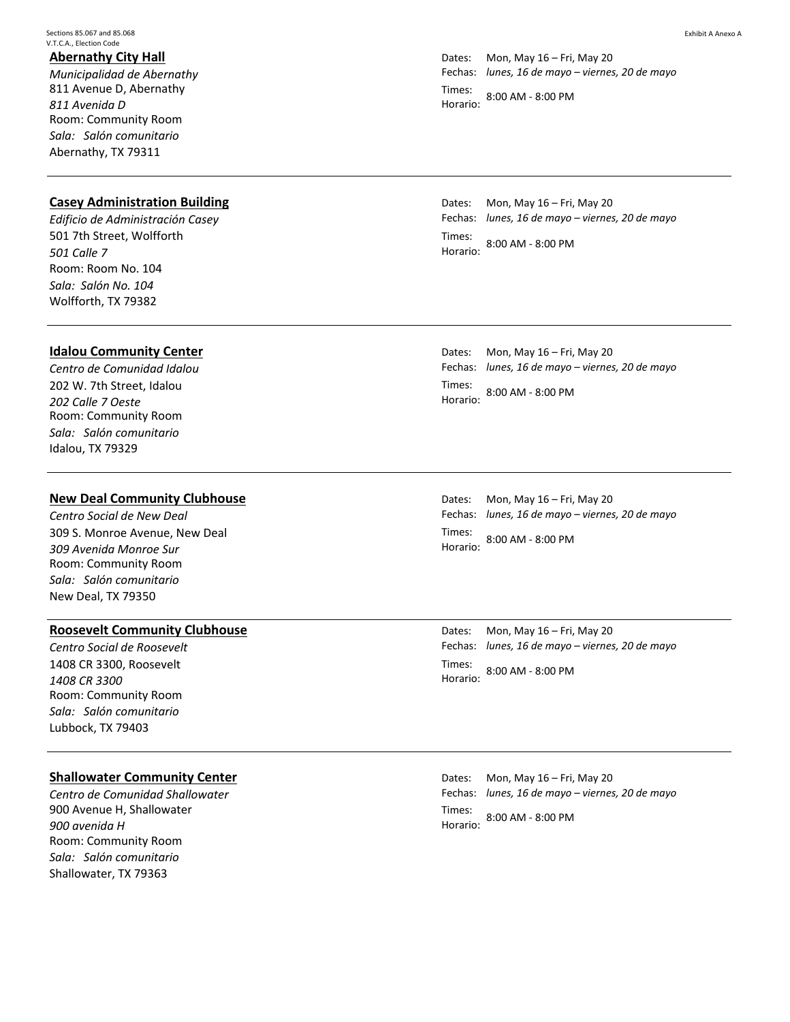Sections 85.067 and 85.068 V.T.C.A., Election Code

### **Abernathy City Hall**

*Municipalidad de Abernathy* 811 Avenue D, Abernathy *811 Avenida D* Room: Community Room *Sala: Salón comunitario* Abernathy, TX 79311

## **Casey Administration Building**

*Edificio de Administración Casey* 501 7th Street, Wolfforth *501 Calle 7* Room: Room No. 104 *Sala: Salón No. 104* Wolfforth, TX 79382

#### **Idalou Community Center**

*Centro de Comunidad Idalou* 202 W. 7th Street, Idalou *202 Calle 7 Oeste* Room: Community Room *Sala: Salón comunitario* Idalou, TX 79329

#### **New Deal Community Clubhouse**

*Centro Social de New Deal* 309 S. Monroe Avenue, New Deal *309 Avenida Monroe Sur* Room: Community Room *Sala: Salón comunitario* New Deal, TX 79350

## **Roosevelt Community Clubhouse**

*Centro Social de Roosevelt* 1408 CR 3300, Roosevelt *1408 CR 3300* Room: Community Room *Sala: Salón comunitario* Lubbock, TX 79403

## **Shallowater Community Center**

*Centro de Comunidad Shallowater*  900 Avenue H, Shallowater *900 avenida H* Room: Community Room *Sala: Salón comunitario* Shallowater, TX 79363

Dates: Fechas: *lunes, 16 de mayo – viernes, 20 de mayo* Mon, May 16 – Fri, May 20 Times: Horario: 8:00 AM - 8:00 PM

Dates: Fechas: *lunes, 16 de mayo – viernes, 20 de mayo* Mon, May 16 – Fri, May 20 Times: Horario: 8:00 AM - 8:00 PM

Dates: Fechas: *lunes, 16 de mayo – viernes, 20 de mayo* Mon, May 16 – Fri, May 20 Times: Horario: 8:00 AM - 8:00 PM

Dates: Fechas: *lunes, 16 de mayo – viernes, 20 de mayo* Mon, May 16 – Fri, May 20 Times: Horario: 8:00 AM - 8:00 PM

Dates: Fechas: *lunes, 16 de mayo – viernes, 20 de mayo* Mon, May 16 – Fri, May 20 Times: Horario: 8:00 AM - 8:00 PM

Dates: Fechas: *lunes, 16 de mayo – viernes, 20 de mayo* Mon, May 16 – Fri, May 20 Times: Horario: 8:00 AM - 8:00 PM